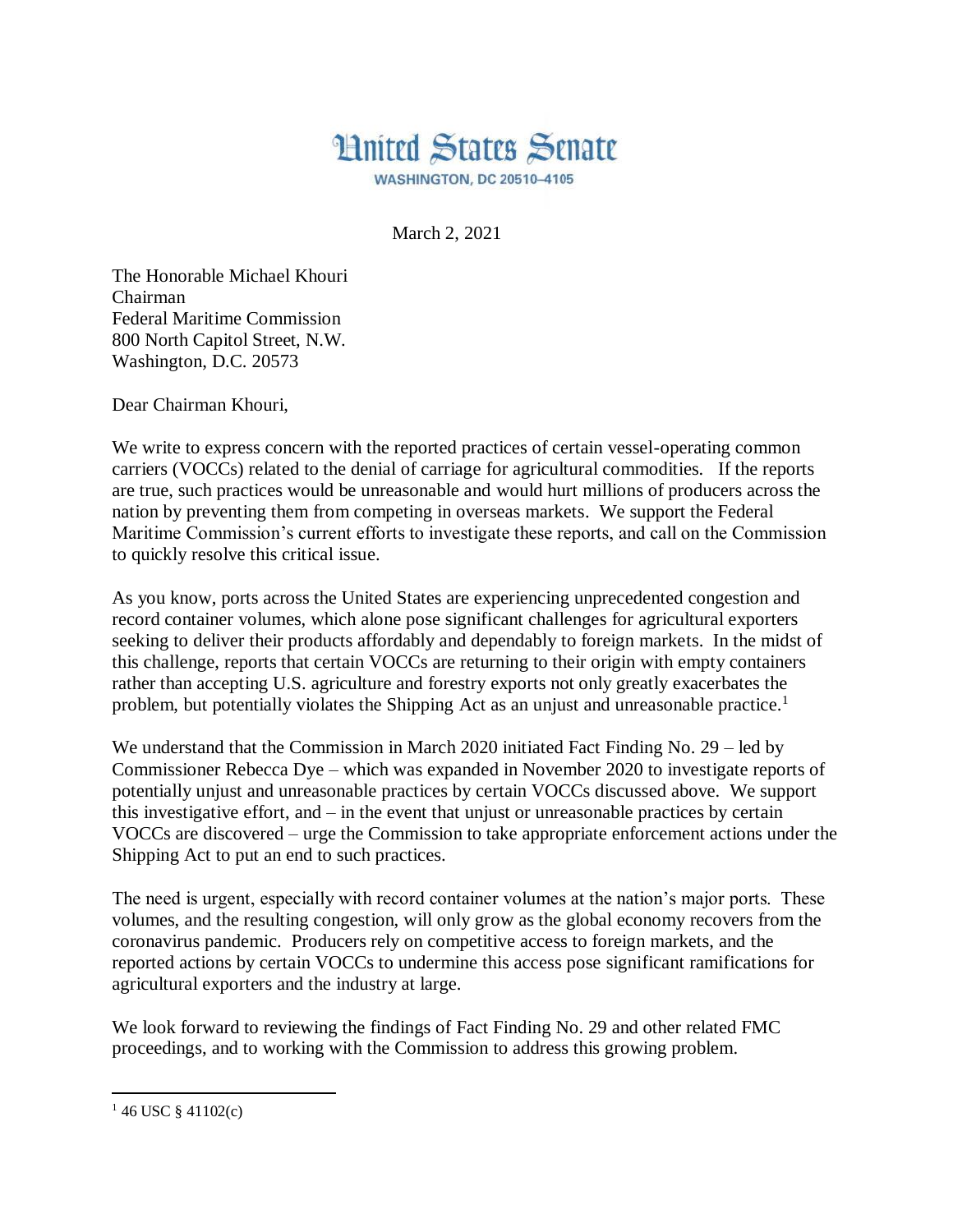

**WASHINGTON, DC 20510-4105** 

March 2, 2021

The Honorable Michael Khouri Chairman Federal Maritime Commission 800 North Capitol Street, N.W. Washington, D.C. 20573

Dear Chairman Khouri,

We write to express concern with the reported practices of certain vessel-operating common carriers (VOCCs) related to the denial of carriage for agricultural commodities. If the reports are true, such practices would be unreasonable and would hurt millions of producers across the nation by preventing them from competing in overseas markets. We support the Federal Maritime Commission's current efforts to investigate these reports, and call on the Commission to quickly resolve this critical issue.

As you know, ports across the United States are experiencing unprecedented congestion and record container volumes, which alone pose significant challenges for agricultural exporters seeking to deliver their products affordably and dependably to foreign markets. In the midst of this challenge, reports that certain VOCCs are returning to their origin with empty containers rather than accepting U.S. agriculture and forestry exports not only greatly exacerbates the problem, but potentially violates the Shipping Act as an unjust and unreasonable practice.<sup>1</sup>

We understand that the Commission in March 2020 initiated Fact Finding No. 29 – led by Commissioner Rebecca Dye – which was expanded in November 2020 to investigate reports of potentially unjust and unreasonable practices by certain VOCCs discussed above. We support this investigative effort, and – in the event that unjust or unreasonable practices by certain VOCCs are discovered – urge the Commission to take appropriate enforcement actions under the Shipping Act to put an end to such practices.

The need is urgent, especially with record container volumes at the nation's major ports. These volumes, and the resulting congestion, will only grow as the global economy recovers from the coronavirus pandemic. Producers rely on competitive access to foreign markets, and the reported actions by certain VOCCs to undermine this access pose significant ramifications for agricultural exporters and the industry at large.

We look forward to reviewing the findings of Fact Finding No. 29 and other related FMC proceedings, and to working with the Commission to address this growing problem.

 $\overline{a}$  $146$  USC  $§$  41102(c)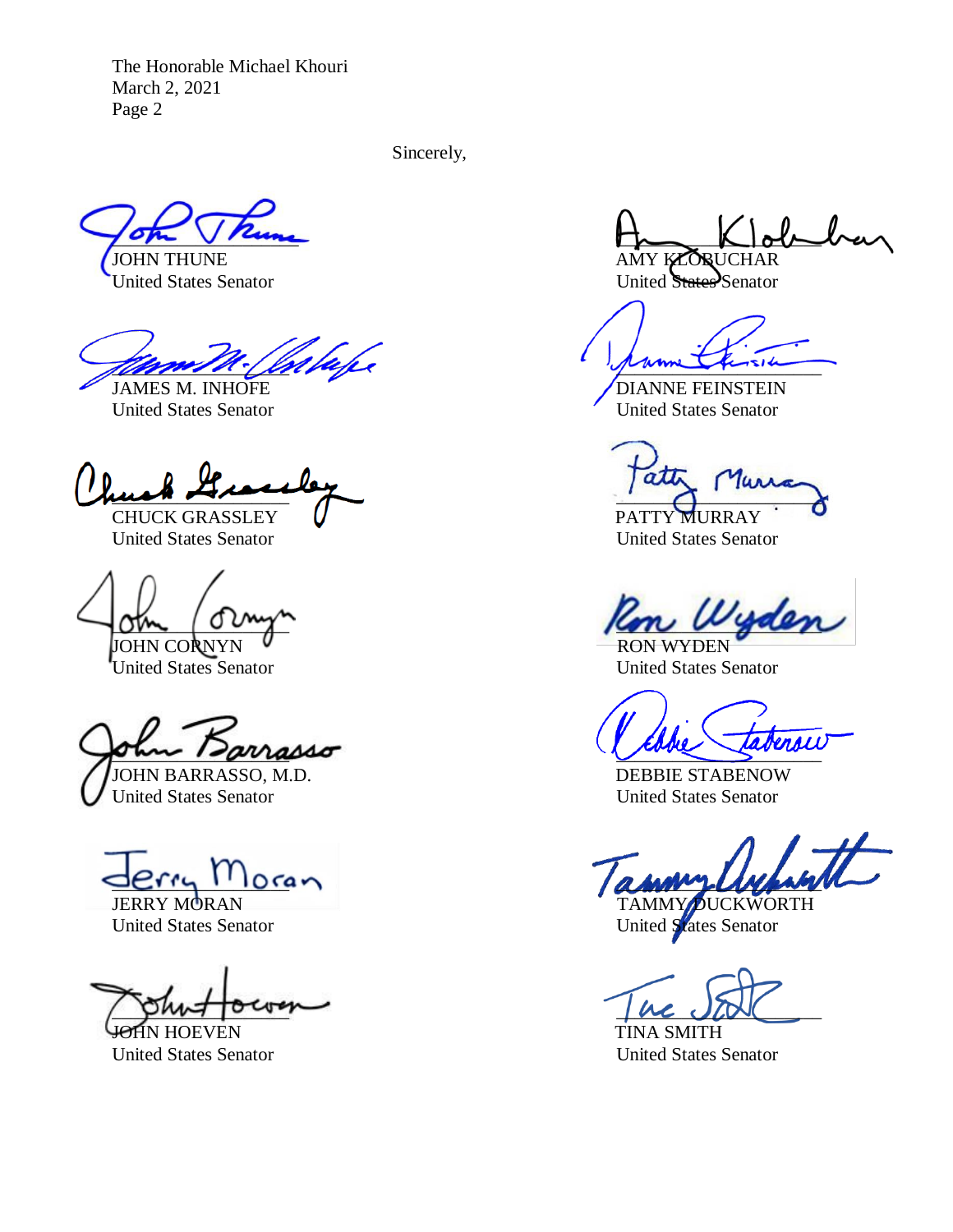The Honorable Michael Khouri March 2, 2021 Page 2

Sincerely,

The moth ( billege

 $\frac{1}{2}$ 

CHUCK GRASSLEY V PATTY MURRAY United States Senator United States Senator

JOHN CORNYN V

United States Senator United States Senator

 $\nu\nu$ asso JOHN BARRASSO, M.D. DEBBIE STABENOW

United States Senator United States Senator

JOHN HOEVEN TINA SMITH

 $\tau$ JOHN THUNE AMY KLORUCHAR

United States Senator United States Senator

JAMES M. INHOFE DIANNE FEINSTEIN United States Senator **United States Senator** 

 $at\bar{b}$ 

 $\sigma$ m  $\sigma$   $\sim$   $\sigma$   $\sim$   $\sigma$   $\sim$   $\sigma$ 

 $Jerr_{1}$ <sup>1</sup> $Ioreq$ JERRY MORAN TAMMY DUCKWORTH

United States Senator United States Senator

punt out of the state

United States Senator United States Senator